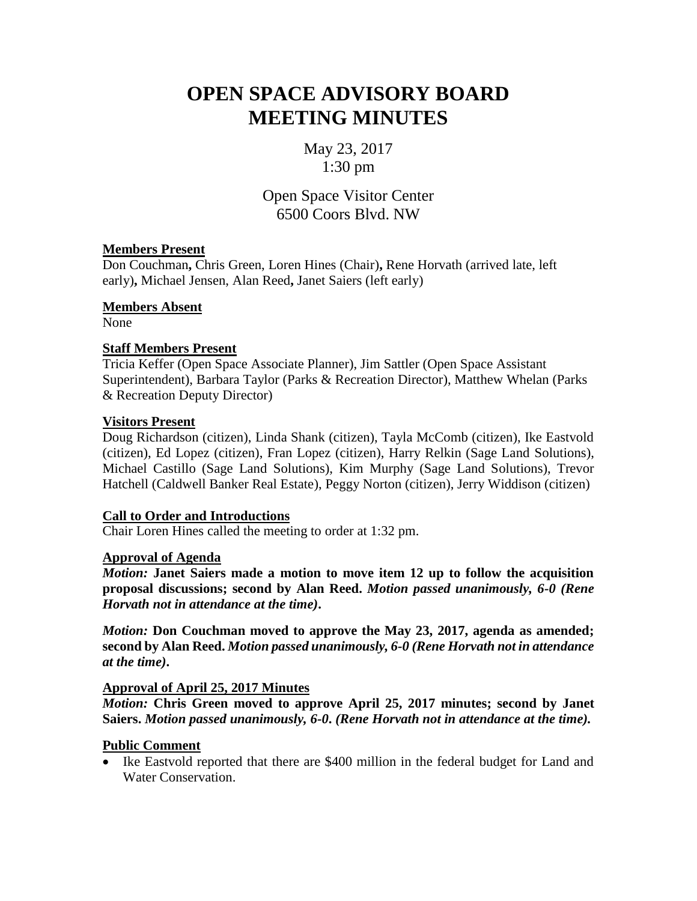# **OPEN SPACE ADVISORY BOARD MEETING MINUTES**

May 23, 2017 1:30 pm

Open Space Visitor Center 6500 Coors Blvd. NW

# **Members Present**

Don Couchman**,** Chris Green, Loren Hines (Chair)**,** Rene Horvath (arrived late, left early)**,** Michael Jensen, Alan Reed**,** Janet Saiers (left early)

**Members Absent**

None

# **Staff Members Present**

Tricia Keffer (Open Space Associate Planner), Jim Sattler (Open Space Assistant Superintendent), Barbara Taylor (Parks & Recreation Director), Matthew Whelan (Parks & Recreation Deputy Director)

# **Visitors Present**

Doug Richardson (citizen), Linda Shank (citizen), Tayla McComb (citizen), Ike Eastvold (citizen), Ed Lopez (citizen), Fran Lopez (citizen), Harry Relkin (Sage Land Solutions), Michael Castillo (Sage Land Solutions), Kim Murphy (Sage Land Solutions), Trevor Hatchell (Caldwell Banker Real Estate), Peggy Norton (citizen), Jerry Widdison (citizen)

# **Call to Order and Introductions**

Chair Loren Hines called the meeting to order at 1:32 pm.

## **Approval of Agenda**

*Motion:* **Janet Saiers made a motion to move item 12 up to follow the acquisition proposal discussions; second by Alan Reed.** *Motion passed unanimously, 6-0 (Rene Horvath not in attendance at the time)***.**

*Motion:* **Don Couchman moved to approve the May 23, 2017, agenda as amended; second by Alan Reed.** *Motion passed unanimously, 6-0 (Rene Horvath not in attendance at the time)***.**

# **Approval of April 25, 2017 Minutes**

*Motion:* **Chris Green moved to approve April 25, 2017 minutes; second by Janet Saiers.** *Motion passed unanimously, 6-0***.** *(Rene Horvath not in attendance at the time).*

## **Public Comment**

• Ike Eastvold reported that there are \$400 million in the federal budget for Land and Water Conservation.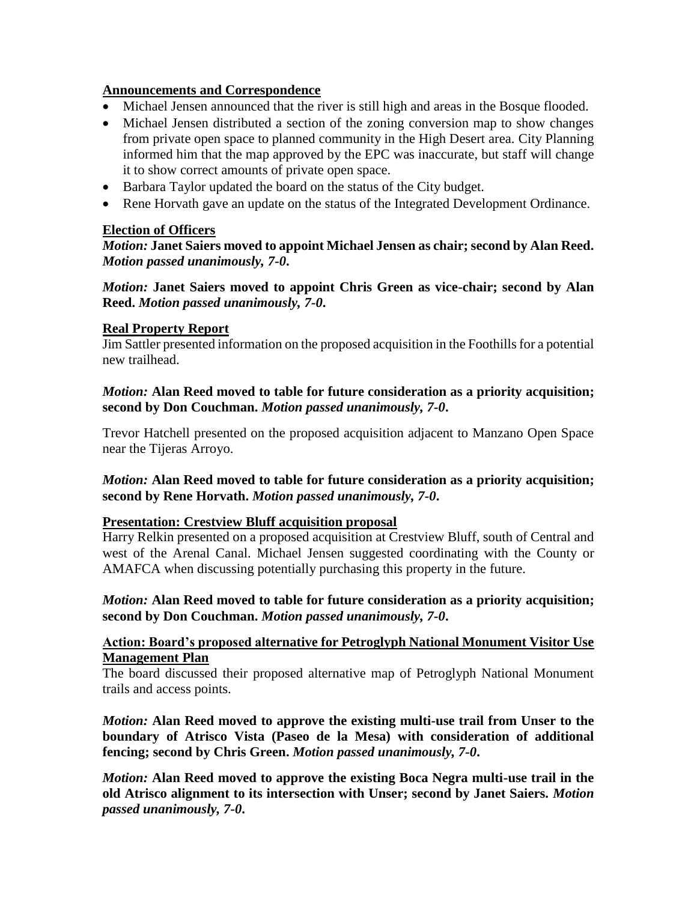# **Announcements and Correspondence**

- Michael Jensen announced that the river is still high and areas in the Bosque flooded.
- Michael Jensen distributed a section of the zoning conversion map to show changes from private open space to planned community in the High Desert area. City Planning informed him that the map approved by the EPC was inaccurate, but staff will change it to show correct amounts of private open space.
- Barbara Taylor updated the board on the status of the City budget.
- Rene Horvath gave an update on the status of the Integrated Development Ordinance.

## **Election of Officers**

*Motion:* **Janet Saiers moved to appoint Michael Jensen as chair; second by Alan Reed.**  *Motion passed unanimously, 7-0***.**

*Motion:* **Janet Saiers moved to appoint Chris Green as vice-chair; second by Alan Reed.** *Motion passed unanimously, 7-0***.**

## **Real Property Report**

Jim Sattler presented information on the proposed acquisition in the Foothills for a potential new trailhead.

# *Motion:* **Alan Reed moved to table for future consideration as a priority acquisition; second by Don Couchman.** *Motion passed unanimously, 7-0***.**

Trevor Hatchell presented on the proposed acquisition adjacent to Manzano Open Space near the Tijeras Arroyo.

## *Motion:* **Alan Reed moved to table for future consideration as a priority acquisition; second by Rene Horvath.** *Motion passed unanimously, 7-0***.**

## **Presentation: Crestview Bluff acquisition proposal**

Harry Relkin presented on a proposed acquisition at Crestview Bluff, south of Central and west of the Arenal Canal. Michael Jensen suggested coordinating with the County or AMAFCA when discussing potentially purchasing this property in the future.

*Motion:* **Alan Reed moved to table for future consideration as a priority acquisition; second by Don Couchman.** *Motion passed unanimously, 7-0***.**

## **Action: Board's proposed alternative for Petroglyph National Monument Visitor Use Management Plan**

The board discussed their proposed alternative map of Petroglyph National Monument trails and access points.

*Motion:* **Alan Reed moved to approve the existing multi-use trail from Unser to the boundary of Atrisco Vista (Paseo de la Mesa) with consideration of additional fencing; second by Chris Green.** *Motion passed unanimously, 7-0***.**

*Motion:* **Alan Reed moved to approve the existing Boca Negra multi-use trail in the old Atrisco alignment to its intersection with Unser; second by Janet Saiers.** *Motion passed unanimously, 7-0***.**